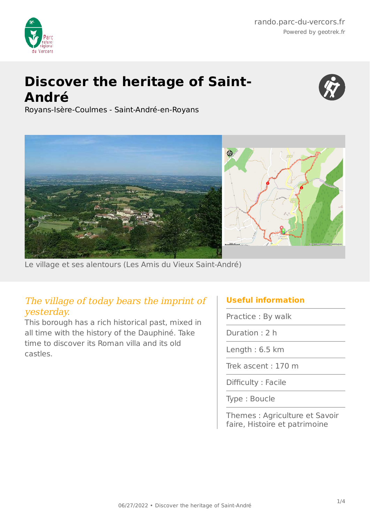

# **Discover the heritage of Saint-André**



Royans-Isère-Coulmes - Saint-André-en-Royans



Le village et ses alentours (Les Amis du Vieux Saint-André)

## The village of today bears the imprint of yesterday.

This borough has a rich historical past, mixed in all time with the history of the Dauphiné. Take time to discover its Roman villa and its old castles.

### **Useful information**

Practice : By walk

Duration : 2 h

Length : 6.5 km

Trek ascent : 170 m

Difficulty : Facile

Type : Boucle

Themes : Agriculture et Savoir faire, Histoire et patrimoine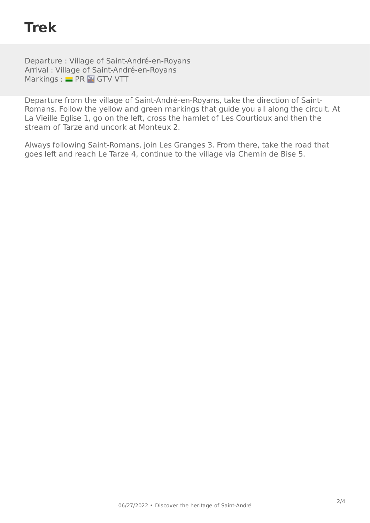## **Trek**

Departure : Village of Saint-André-en-Royans Arrival : Village of Saint-André-en-Royans Markings : PR THR GTV VTT

Departure from the village of Saint-André-en-Royans, take the direction of Saint-Romans. Follow the yellow and green markings that guide you all along the circuit. At La Vieille Eglise 1, go on the left, cross the hamlet of Les Courtioux and then the stream of Tarze and uncork at Monteux 2.

Always following Saint-Romans, join Les Granges 3. From there, take the road that goes left and reach Le Tarze 4, continue to the village via Chemin de Bise 5.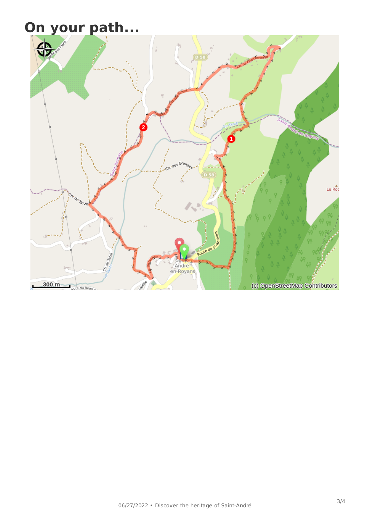# **On your path...**